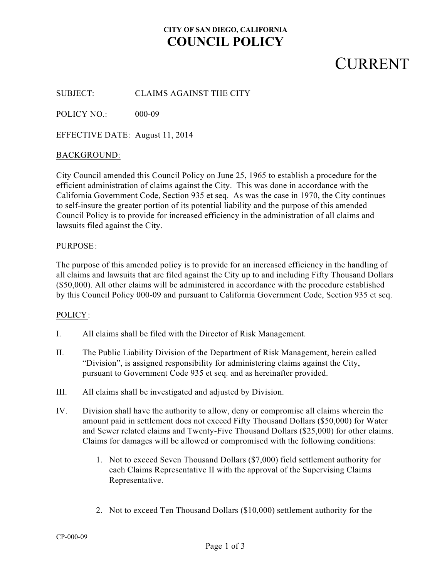### **CITY OF SAN DIEGO, CALIFORNIA COUNCIL POLICY**

## **CURRENT**

SUBJECT: CLAIMS AGAINST THE CITY

POLICY NO.: 000-09

EFFECTIVE DATE: August 11, 2014

#### BACKGROUND:

City Council amended this Council Policy on June 25, 1965 to establish a procedure for the efficient administration of claims against the City. This was done in accordance with the California Government Code, Section 935 et seq. As was the case in 1970, the City continues to self-insure the greater portion of its potential liability and the purpose of this amended Council Policy is to provide for increased efficiency in the administration of all claims and lawsuits filed against the City.

#### PURPOSE:

The purpose of this amended policy is to provide for an increased efficiency in the handling of all claims and lawsuits that are filed against the City up to and including Fifty Thousand Dollars (\$50,000). All other claims will be administered in accordance with the procedure established by this Council Policy 000-09 and pursuant to California Government Code, Section 935 et seq.

### POLICY:

- I. All claims shall be filed with the Director of Risk Management.
- II. The Public Liability Division of the Department of Risk Management, herein called "Division", is assigned responsibility for administering claims against the City, pursuant to Government Code 935 et seq. and as hereinafter provided.
- III. All claims shall be investigated and adjusted by Division.
- IV. Division shall have the authority to allow, deny or compromise all claims wherein the amount paid in settlement does not exceed Fifty Thousand Dollars (\$50,000) for Water and Sewer related claims and Twenty-Five Thousand Dollars (\$25,000) for other claims. Claims for damages will be allowed or compromised with the following conditions:
	- 1. Not to exceed Seven Thousand Dollars (\$7,000) field settlement authority for each Claims Representative II with the approval of the Supervising Claims Representative.
	- 2. Not to exceed Ten Thousand Dollars (\$10,000) settlement authority for the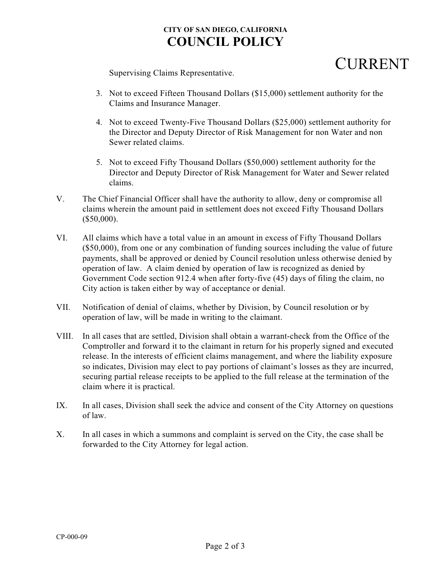## **CITY OF SAN DIEGO, CALIFORNIA COUNCIL POLICY**

## **CURRENT**

Supervising Claims Representative.

- 3. Not to exceed Fifteen Thousand Dollars (\$15,000) settlement authority for the Claims and Insurance Manager.
- 4. Not to exceed Twenty-Five Thousand Dollars (\$25,000) settlement authority for the Director and Deputy Director of Risk Management for non Water and non Sewer related claims.
- 5. Not to exceed Fifty Thousand Dollars (\$50,000) settlement authority for the Director and Deputy Director of Risk Management for Water and Sewer related claims.
- V. The Chief Financial Officer shall have the authority to allow, deny or compromise all claims wherein the amount paid in settlement does not exceed Fifty Thousand Dollars (\$50,000).
- VI. All claims which have a total value in an amount in excess of Fifty Thousand Dollars (\$50,000), from one or any combination of funding sources including the value of future payments, shall be approved or denied by Council resolution unless otherwise denied by operation of law. A claim denied by operation of law is recognized as denied by Government Code section 912.4 when after forty-five (45) days of filing the claim, no City action is taken either by way of acceptance or denial.
- VII. Notification of denial of claims, whether by Division, by Council resolution or by operation of law, will be made in writing to the claimant.
- VIII. In all cases that are settled, Division shall obtain a warrant-check from the Office of the Comptroller and forward it to the claimant in return for his properly signed and executed release. In the interests of efficient claims management, and where the liability exposure so indicates, Division may elect to pay portions of claimant's losses as they are incurred, securing partial release receipts to be applied to the full release at the termination of the claim where it is practical.
- IX. In all cases, Division shall seek the advice and consent of the City Attorney on questions of law.
- X. In all cases in which a summons and complaint is served on the City, the case shall be forwarded to the City Attorney for legal action.